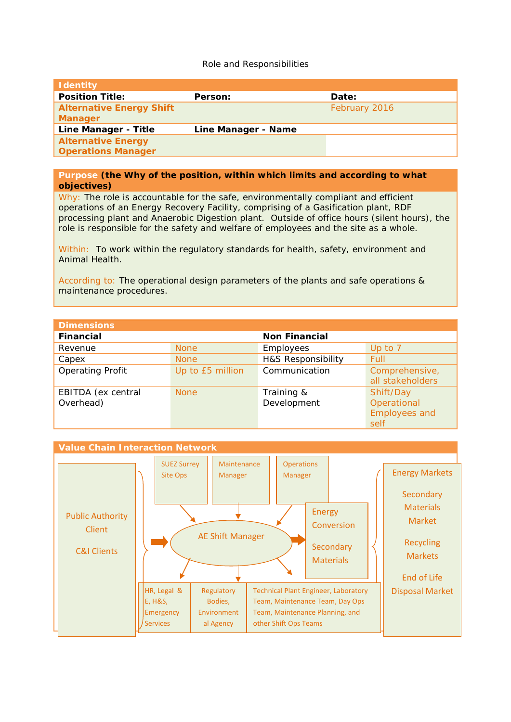## Role and Responsibilities

| <b>Identity</b>                                        |                     |               |
|--------------------------------------------------------|---------------------|---------------|
| <b>Position Title:</b>                                 | Person:             | Date:         |
| <b>Alternative Energy Shift</b><br><b>Manager</b>      |                     | February 2016 |
| Line Manager - Title                                   | Line Manager - Name |               |
| <b>Alternative Energy</b><br><b>Operations Manager</b> |                     |               |

## **Purpose (the Why of the position, within which limits and according to what objectives)**

Why: The role is accountable for the safe, environmentally compliant and efficient operations of an Energy Recovery Facility, comprising of a Gasification plant, RDF processing plant and Anaerobic Digestion plant. Outside of office hours (silent hours), the role is responsible for the safety and welfare of employees and the site as a whole.

Within: To work within the regulatory standards for health, safety, environment and Animal Health.

According to: The operational design parameters of the plants and safe operations & maintenance procedures.

| <b>Dimensions</b>       |                  |                      |                      |
|-------------------------|------------------|----------------------|----------------------|
| <b>Financial</b>        |                  | <b>Non Financial</b> |                      |
| Revenue                 | <b>None</b>      | Employees            | Up to 7              |
| Capex                   | <b>None</b>      | H&S Responsibility   | Full                 |
| <b>Operating Profit</b> | Up to £5 million | Communication        | Comprehensive,       |
|                         |                  |                      | all stakeholders     |
| EBITDA (ex central      | <b>None</b>      | Training &           | Shift/Day            |
| Overhead)               |                  | Development          | Operational          |
|                         |                  |                      | <b>Employees and</b> |
|                         |                  |                      | self                 |

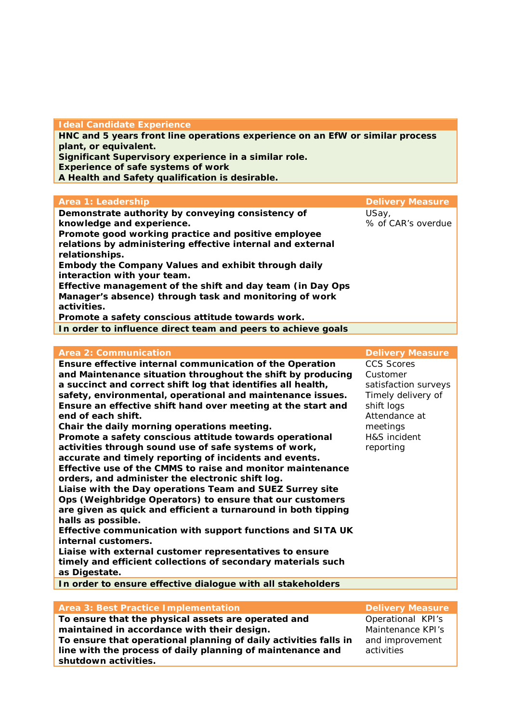## **Ideal Candidate Experience**

**HNC and 5 years front line operations experience on an EfW or similar process plant, or equivalent.**

**Significant Supervisory experience in a similar role.**

**Experience of safe systems of work** 

**A Health and Safety qualification is desirable.**

| Area 1: Leadership                                                                                                                                                                                                                                                                                                                                                                                                                                                                                      | <b>Delivery Measure</b>     |
|---------------------------------------------------------------------------------------------------------------------------------------------------------------------------------------------------------------------------------------------------------------------------------------------------------------------------------------------------------------------------------------------------------------------------------------------------------------------------------------------------------|-----------------------------|
| Demonstrate authority by conveying consistency of<br>knowledge and experience.<br>Promote good working practice and positive employee<br>relations by administering effective internal and external<br>relationships.<br>Embody the Company Values and exhibit through daily<br>interaction with your team.<br>Effective management of the shift and day team (in Day Ops<br>Manager's absence) through task and monitoring of work<br>activities.<br>Promote a safety conscious attitude towards work. | USay,<br>% of CAR's overdue |
| In order to influence direct team and peers to achieve goals                                                                                                                                                                                                                                                                                                                                                                                                                                            |                             |

| <b>Area 2: Communication</b>                                  | <b>Delivery Measure</b> |
|---------------------------------------------------------------|-------------------------|
| Ensure effective internal communication of the Operation      | <b>CCS Scores</b>       |
| and Maintenance situation throughout the shift by producing   | Customer                |
| a succinct and correct shift log that identifies all health,  | satisfaction surveys    |
| safety, environmental, operational and maintenance issues.    | Timely delivery of      |
| Ensure an effective shift hand over meeting at the start and  | shift logs              |
| end of each shift.                                            | Attendance at           |
| Chair the daily morning operations meeting.                   | meetings                |
| Promote a safety conscious attitude towards operational       | H&S incident            |
| activities through sound use of safe systems of work,         | reporting               |
| accurate and timely reporting of incidents and events.        |                         |
| Effective use of the CMMS to raise and monitor maintenance    |                         |
| orders, and administer the electronic shift log.              |                         |
| Liaise with the Day operations Team and SUEZ Surrey site      |                         |
| Ops (Weighbridge Operators) to ensure that our customers      |                         |
| are given as quick and efficient a turnaround in both tipping |                         |
| halls as possible.                                            |                         |
| Effective communication with support functions and SITA UK    |                         |
| internal customers.                                           |                         |
| Liaise with external customer representatives to ensure       |                         |
| timely and efficient collections of secondary materials such  |                         |
| as Digestate.                                                 |                         |
| In order to ensure effective dialogue with all stakeholders   |                         |
|                                                               |                         |
| <b>Area 3: Best Practice Implementation</b>                   | <b>Delivery Measure</b> |

**To ensure that the physical assets are operated and maintained in accordance with their design. To ensure that operational planning of daily activities falls in line with the process of daily planning of maintenance and shutdown activities.** 

Operational KPI's Maintenance KPI's and improvement activities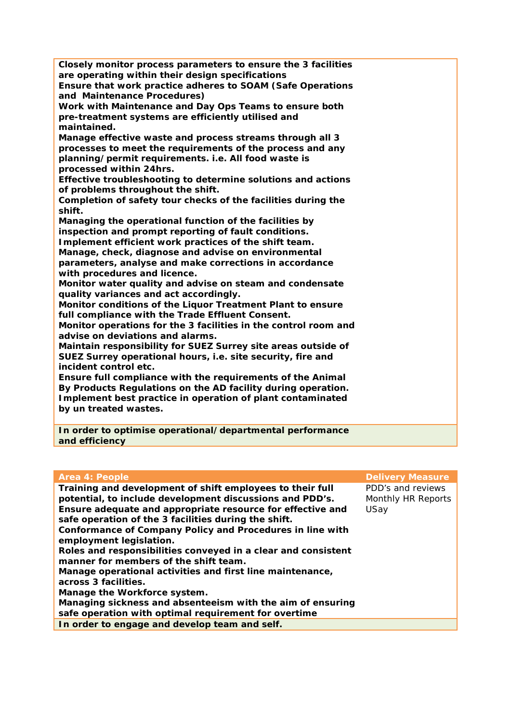| Closely monitor process parameters to ensure the 3 facilities<br>are operating within their design specifications<br>Ensure that work practice adheres to SOAM (Safe Operations<br>and Maintenance Procedures)<br>Work with Maintenance and Day Ops Teams to ensure both<br>pre-treatment systems are efficiently utilised and<br>maintained.<br>Manage effective waste and process streams through all 3<br>processes to meet the requirements of the process and any<br>planning/permit requirements. i.e. All food waste is<br>processed within 24hrs.<br>Effective troubleshooting to determine solutions and actions<br>of problems throughout the shift.<br>Completion of safety tour checks of the facilities during the<br>shift.<br>Managing the operational function of the facilities by<br>inspection and prompt reporting of fault conditions.<br>Implement efficient work practices of the shift team.<br>Manage, check, diagnose and advise on environmental<br>parameters, analyse and make corrections in accordance<br>with procedures and licence.<br>Monitor water quality and advise on steam and condensate<br>quality variances and act accordingly.<br>Monitor conditions of the Liquor Treatment Plant to ensure<br>full compliance with the Trade Effluent Consent.<br>Monitor operations for the 3 facilities in the control room and<br>advise on deviations and alarms.<br>Maintain responsibility for SUEZ Surrey site areas outside of<br>SUEZ Surrey operational hours, i.e. site security, fire and<br>incident control etc.<br>Ensure full compliance with the requirements of the Animal |
|-----------------------------------------------------------------------------------------------------------------------------------------------------------------------------------------------------------------------------------------------------------------------------------------------------------------------------------------------------------------------------------------------------------------------------------------------------------------------------------------------------------------------------------------------------------------------------------------------------------------------------------------------------------------------------------------------------------------------------------------------------------------------------------------------------------------------------------------------------------------------------------------------------------------------------------------------------------------------------------------------------------------------------------------------------------------------------------------------------------------------------------------------------------------------------------------------------------------------------------------------------------------------------------------------------------------------------------------------------------------------------------------------------------------------------------------------------------------------------------------------------------------------------------------------------------------------------------------------------------------------------|
|                                                                                                                                                                                                                                                                                                                                                                                                                                                                                                                                                                                                                                                                                                                                                                                                                                                                                                                                                                                                                                                                                                                                                                                                                                                                                                                                                                                                                                                                                                                                                                                                                             |
|                                                                                                                                                                                                                                                                                                                                                                                                                                                                                                                                                                                                                                                                                                                                                                                                                                                                                                                                                                                                                                                                                                                                                                                                                                                                                                                                                                                                                                                                                                                                                                                                                             |
| By Products Regulations on the AD facility during operation.                                                                                                                                                                                                                                                                                                                                                                                                                                                                                                                                                                                                                                                                                                                                                                                                                                                                                                                                                                                                                                                                                                                                                                                                                                                                                                                                                                                                                                                                                                                                                                |
| Implement best practice in operation of plant contaminated<br>by un treated wastes.                                                                                                                                                                                                                                                                                                                                                                                                                                                                                                                                                                                                                                                                                                                                                                                                                                                                                                                                                                                                                                                                                                                                                                                                                                                                                                                                                                                                                                                                                                                                         |
| In order to optimise operational/departmental performance<br>and efficiency                                                                                                                                                                                                                                                                                                                                                                                                                                                                                                                                                                                                                                                                                                                                                                                                                                                                                                                                                                                                                                                                                                                                                                                                                                                                                                                                                                                                                                                                                                                                                 |

| <b>Area 4: People</b>                                                                                                                                                                                                                                                                                                                                                                                                                                                                                                                                                                                                                                                                    | <b>Delivery Measure</b>                         |
|------------------------------------------------------------------------------------------------------------------------------------------------------------------------------------------------------------------------------------------------------------------------------------------------------------------------------------------------------------------------------------------------------------------------------------------------------------------------------------------------------------------------------------------------------------------------------------------------------------------------------------------------------------------------------------------|-------------------------------------------------|
| Training and development of shift employees to their full<br>potential, to include development discussions and PDD's.<br>Ensure adequate and appropriate resource for effective and<br>safe operation of the 3 facilities during the shift.<br>Conformance of Company Policy and Procedures in line with<br>employment legislation.<br>Roles and responsibilities conveyed in a clear and consistent<br>manner for members of the shift team.<br>Manage operational activities and first line maintenance,<br>across 3 facilities.<br>Manage the Workforce system.<br>Managing sickness and absenteeism with the aim of ensuring<br>safe operation with optimal requirement for overtime | PDD's and reviews<br>Monthly HR Reports<br>USay |
| In order to engage and develop team and self.                                                                                                                                                                                                                                                                                                                                                                                                                                                                                                                                                                                                                                            |                                                 |